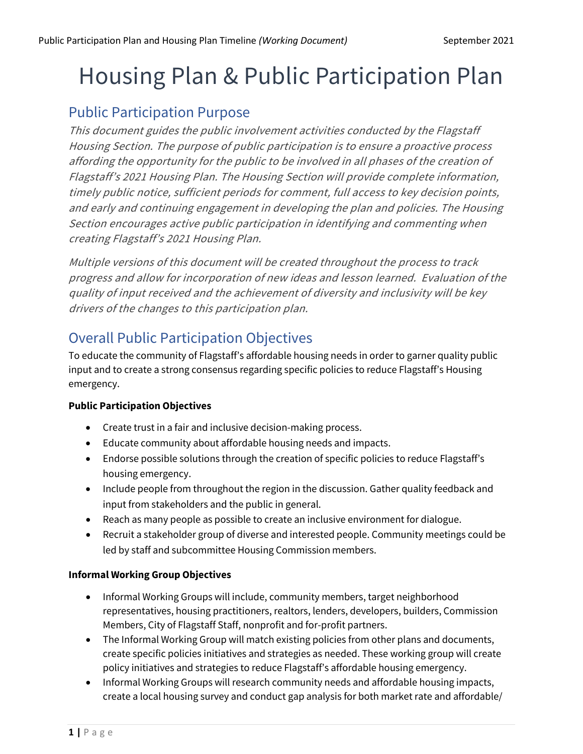# Housing Plan & Public Participation Plan

## Public Participation Purpose

This document guides the public involvement activities conducted by the Flagstaff Housing Section. The purpose of public participation is to ensure a proactive process affording the opportunity for the public to be involved in all phases of the creation of Flagstaff's <sup>2021</sup> Housing Plan. The Housing Section will provide complete information, timely public notice, sufficient periods for comment, full access to key decision points, and early and continuing engagement in developing the plan and policies. The Housing Section encourages active public participation in identifying and commenting when creating Flagstaff's 2021 Housing Plan.

Multiple versions of this document will be created throughout the process to track progress and allow for incorporation of new ideas and lesson learned. Evaluation of the quality of input received and the achievement of diversity and inclusivity will be key drivers of the changes to this participation plan.

# Overall Public Participation Objectives

To educate the community of Flagstaff's affordable housing needs in order to garner quality public input and to create a strong consensus regarding specific policies to reduce Flagstaff's Housing emergency.

#### **Public Participation Objectives**

- Create trust in a fair and inclusive decision-making process.
- Educate community about affordable housing needs and impacts.
- Endorse possible solutions through the creation of specific policies to reduce Flagstaff's housing emergency.
- Include people from throughout the region in the discussion. Gather quality feedback and input from stakeholders and the public in general.
- Reach as many people as possible to create an inclusive environment for dialogue.
- Recruit a stakeholder group of diverse and interested people. Community meetings could be led by staff and subcommittee Housing Commission members.

#### **Informal Working Group Objectives**

- Informal Working Groups will include, community members, target neighborhood representatives, housing practitioners, realtors, lenders, developers, builders, Commission Members, City of Flagstaff Staff, nonprofit and for-profit partners.
- The Informal Working Group will match existing policies from other plans and documents, create specific policies initiatives and strategies as needed. These working group will create policy initiatives and strategies to reduce Flagstaff's affordable housing emergency.
- Informal Working Groups will research community needs and affordable housing impacts, create a local housing survey and conduct gap analysis for both market rate and affordable/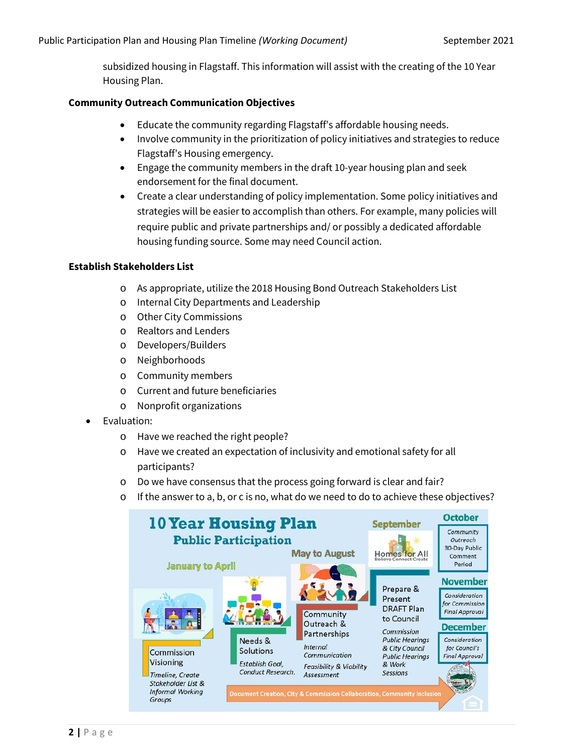subsidized housing in Flagstaff. This information will assist with the creating of the 10 Year Housing Plan.

#### **Community Outreach Communication Objectives**

- Educate the community regarding Flagstaff's affordable housing needs.
- Involve community in the prioritization of policy initiatives and strategies to reduce Flagstaff's Housing emergency.
- Engage the community members in the draft 10-year housing plan and seek endorsement for the final document.
- Create a clear understanding of policy implementation. Some policy initiatives and strategies will be easier to accomplish than others. For example, many policies will require public and private partnerships and/ or possibly a dedicated affordable housing funding source. Some may need Council action.

#### **Establish Stakeholders List**

- o As appropriate, utilize the 2018 Housing Bond Outreach Stakeholders List
- o Internal City Departments and Leadership
- o Other City Commissions
- o Realtors and Lenders
- o Developers/Builders
- o Neighborhoods
- o Community members
- o Current and future beneficiaries
- o Nonprofit organizations
- Evaluation:
	- o Have we reached the right people?
	- o Have we created an expectation of inclusivity and emotional safety for all participants?
	- o Do we have consensus that the process going forward is clear and fair?
	- o If the answer to a, b, or c is no, what do we need to do to achieve these objectives?

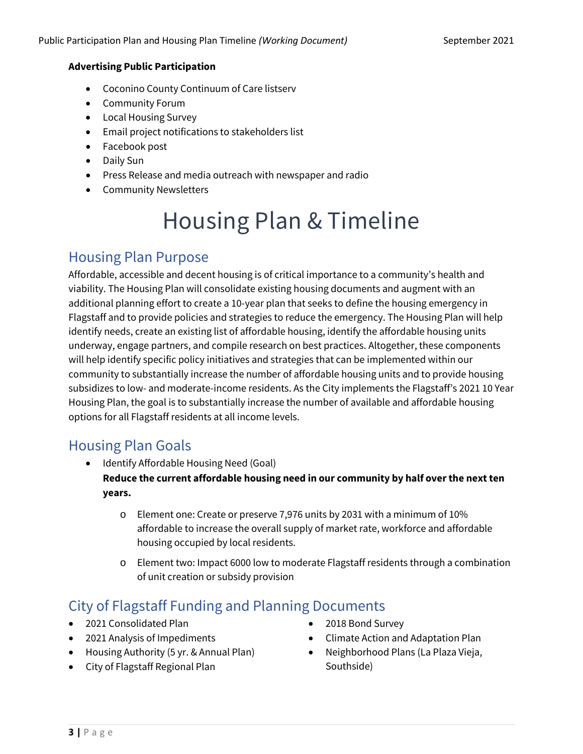#### **Advertising Public Participation**

- Coconino County Continuum of Care listserv
- Community Forum
- Local Housing Survey
- Email project notifications to stakeholders list
- Facebook post
- Daily Sun
- Press Release and media outreach with newspaper and radio
- Community Newsletters

# Housing Plan & Timeline

## Housing Plan Purpose

Affordable, accessible and decent housing is of critical importance to a community's health and viability. The Housing Plan will consolidate existing housing documents and augment with an additional planning effort to create a 10-year plan that seeks to define the housing emergency in Flagstaff and to provide policies and strategies to reduce the emergency. The Housing Plan will help identify needs, create an existing list of affordable housing, identify the affordable housing units underway, engage partners, and compile research on best practices. Altogether, these components will help identify specific policy initiatives and strategies that can be implemented within our community to substantially increase the number of affordable housing units and to provide housing subsidizes to low- and moderate-income residents. As the City implements the Flagstaff's 2021 10 Year Housing Plan, the goal is to substantially increase the number of available and affordable housing options for all Flagstaff residents at all income levels.

#### Housing Plan Goals

- Identify Affordable Housing Need (Goal) **Reduce the current affordable housing need in our community by half over the next ten years.**
	- o Element one: Create or preserve 7,976 units by 2031 with a minimum of 10% affordable to increase the overall supply of market rate, workforce and affordable housing occupied by local residents.
	- o Element two: Impact 6000 low to moderate Flagstaff residents through a combination of unit creation or subsidy provision

# City of Flagstaff Funding and Planning Documents

- 2021 Consolidated Plan
- 2021 Analysis of Impediments
- Housing Authority (5 yr. & Annual Plan)
- City of Flagstaff Regional Plan
- 2018 Bond Survey
- Climate Action and Adaptation Plan
- Neighborhood Plans (La Plaza Vieja, Southside)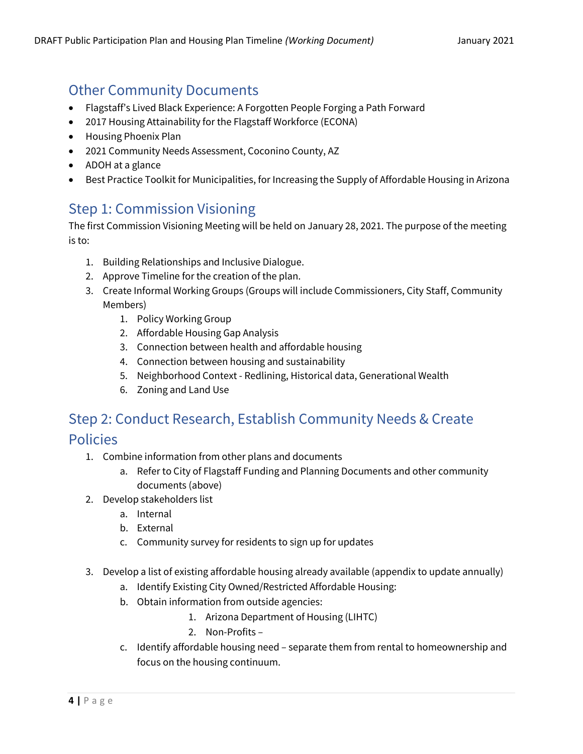# Other Community Documents

- Flagstaff's Lived Black Experience: A Forgotten People Forging a Path Forward
- 2017 Housing Attainability for the Flagstaff Workforce (ECONA)
- Housing Phoenix Plan
- 2021 Community Needs Assessment, Coconino County, AZ
- ADOH at a glance
- Best Practice Toolkit for Municipalities, for Increasing the Supply of Affordable Housing in Arizona

## Step 1: Commission Visioning

The first Commission Visioning Meeting will be held on January 28, 2021. The purpose of the meeting is to:

- 1. Building Relationships and Inclusive Dialogue.
- 2. Approve Timeline for the creation of the plan.
- 3. Create Informal Working Groups (Groups will include Commissioners, City Staff, Community Members)
	- 1. Policy Working Group
	- 2. Affordable Housing Gap Analysis
	- 3. Connection between health and affordable housing
	- 4. Connection between housing and sustainability
	- 5. Neighborhood Context Redlining, Historical data, Generational Wealth
	- 6. Zoning and Land Use

# Step 2: Conduct Research, Establish Community Needs & Create Policies

- 1. Combine information from other plans and documents
	- a. Refer to City of Flagstaff Funding and Planning Documents and other community documents (above)
- 2. Develop stakeholders list
	- a. Internal
	- b. External
	- c. Community survey for residents to sign up for updates
- 3. Develop a list of existing affordable housing already available (appendix to update annually)
	- a. Identify Existing City Owned/Restricted Affordable Housing:
	- b. Obtain information from outside agencies:
		- 1. Arizona Department of Housing (LIHTC)
		- 2. Non-Profits –
	- c. Identify affordable housing need separate them from rental to homeownership and focus on the housing continuum.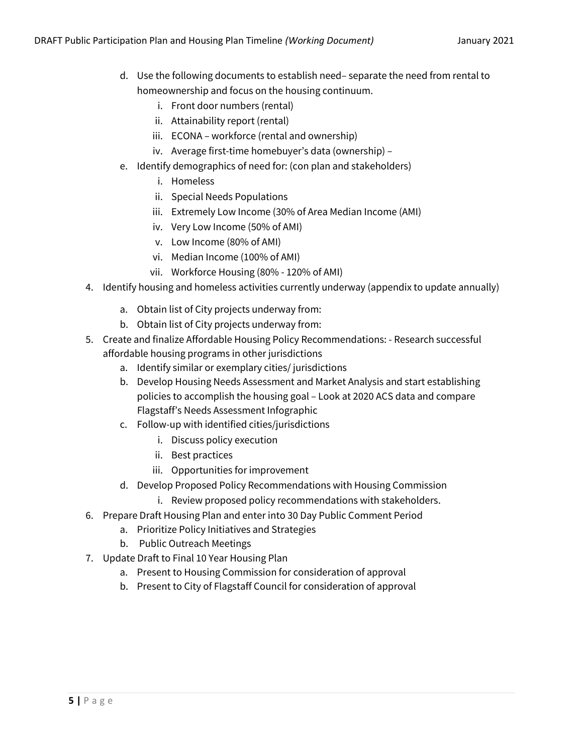- d. Use the following documents to establish need– separate the need from rental to homeownership and focus on the housing continuum.
	- i. Front door numbers (rental)
	- ii. Attainability report (rental)
	- iii. ECONA workforce (rental and ownership)
	- iv. Average first-time homebuyer's data (ownership) –
- e. Identify demographics of need for: (con plan and stakeholders)
	- i. Homeless
	- ii. Special Needs Populations
	- iii. Extremely Low Income (30% of Area Median Income (AMI)
	- iv. Very Low Income (50% of AMI)
	- v. Low Income (80% of AMI)
	- vi. Median Income (100% of AMI)
	- vii. Workforce Housing (80% 120% of AMI)
- 4. Identify housing and homeless activities currently underway (appendix to update annually)
	- a. Obtain list of City projects underway from:
	- b. Obtain list of City projects underway from:
- 5. Create and finalize Affordable Housing Policy Recommendations: Research successful affordable housing programs in other jurisdictions
	- a. Identify similar or exemplary cities/ jurisdictions
	- b. Develop Housing Needs Assessment and Market Analysis and start establishing policies to accomplish the housing goal – Look at 2020 ACS data and compare Flagstaff's Needs Assessment Infographic
	- c. Follow-up with identified cities/jurisdictions
		- i. Discuss policy execution
		- ii. Best practices
		- iii. Opportunities for improvement
	- d. Develop Proposed Policy Recommendations with Housing Commission
		- i. Review proposed policy recommendations with stakeholders.
- 6. Prepare Draft Housing Plan and enter into 30 Day Public Comment Period
	- a. Prioritize Policy Initiatives and Strategies
	- b. Public Outreach Meetings
- 7. Update Draft to Final 10 Year Housing Plan
	- a. Present to Housing Commission for consideration of approval
	- b. Present to City of Flagstaff Council for consideration of approval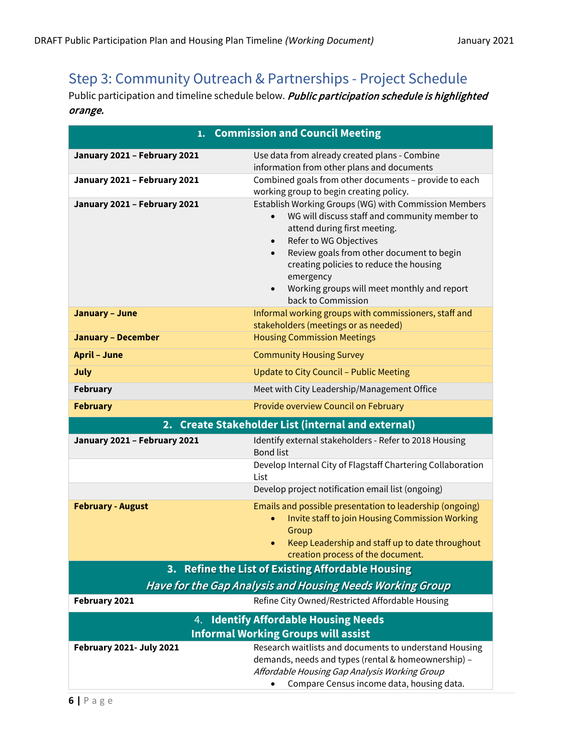# Step 3: Community Outreach & Partnerships - Project Schedule

Public participation and timeline schedule below. Public participation schedule is highlighted orange.

| 1. Commission and Council Meeting                                                            |                                                                                                                                                                                                                                                                                                                                                                      |
|----------------------------------------------------------------------------------------------|----------------------------------------------------------------------------------------------------------------------------------------------------------------------------------------------------------------------------------------------------------------------------------------------------------------------------------------------------------------------|
| January 2021 - February 2021                                                                 | Use data from already created plans - Combine<br>information from other plans and documents                                                                                                                                                                                                                                                                          |
| January 2021 - February 2021                                                                 | Combined goals from other documents - provide to each<br>working group to begin creating policy.                                                                                                                                                                                                                                                                     |
| January 2021 - February 2021                                                                 | Establish Working Groups (WG) with Commission Members<br>WG will discuss staff and community member to<br>attend during first meeting.<br>Refer to WG Objectives<br>$\bullet$<br>Review goals from other document to begin<br>$\bullet$<br>creating policies to reduce the housing<br>emergency<br>Working groups will meet monthly and report<br>back to Commission |
| <b>January - June</b>                                                                        | Informal working groups with commissioners, staff and<br>stakeholders (meetings or as needed)                                                                                                                                                                                                                                                                        |
| <b>January - December</b>                                                                    | <b>Housing Commission Meetings</b>                                                                                                                                                                                                                                                                                                                                   |
| <b>April - June</b>                                                                          | <b>Community Housing Survey</b>                                                                                                                                                                                                                                                                                                                                      |
| July                                                                                         | <b>Update to City Council - Public Meeting</b>                                                                                                                                                                                                                                                                                                                       |
| <b>February</b>                                                                              | Meet with City Leadership/Management Office                                                                                                                                                                                                                                                                                                                          |
| <b>February</b>                                                                              | Provide overview Council on February                                                                                                                                                                                                                                                                                                                                 |
| 2. Create Stakeholder List (internal and external)                                           |                                                                                                                                                                                                                                                                                                                                                                      |
| January 2021 - February 2021                                                                 | Identify external stakeholders - Refer to 2018 Housing<br><b>Bond list</b>                                                                                                                                                                                                                                                                                           |
|                                                                                              | Develop Internal City of Flagstaff Chartering Collaboration<br>List                                                                                                                                                                                                                                                                                                  |
|                                                                                              | Develop project notification email list (ongoing)                                                                                                                                                                                                                                                                                                                    |
| <b>February - August</b>                                                                     | Emails and possible presentation to leadership (ongoing)<br>Invite staff to join Housing Commission Working<br>Group<br>Keep Leadership and staff up to date throughout<br>$\bullet$<br>creation process of the document.                                                                                                                                            |
| 3. Refine the List of Existing Affordable Housing                                            |                                                                                                                                                                                                                                                                                                                                                                      |
|                                                                                              | Have for the Gap Analysis and Housing Needs Working Group                                                                                                                                                                                                                                                                                                            |
| February 2021                                                                                | Refine City Owned/Restricted Affordable Housing                                                                                                                                                                                                                                                                                                                      |
| <b>Identify Affordable Housing Needs</b><br>4.<br><b>Informal Working Groups will assist</b> |                                                                                                                                                                                                                                                                                                                                                                      |
| <b>February 2021- July 2021</b>                                                              | Research waitlists and documents to understand Housing<br>demands, needs and types (rental & homeownership) -<br>Affordable Housing Gap Analysis Working Group<br>Compare Census income data, housing data.                                                                                                                                                          |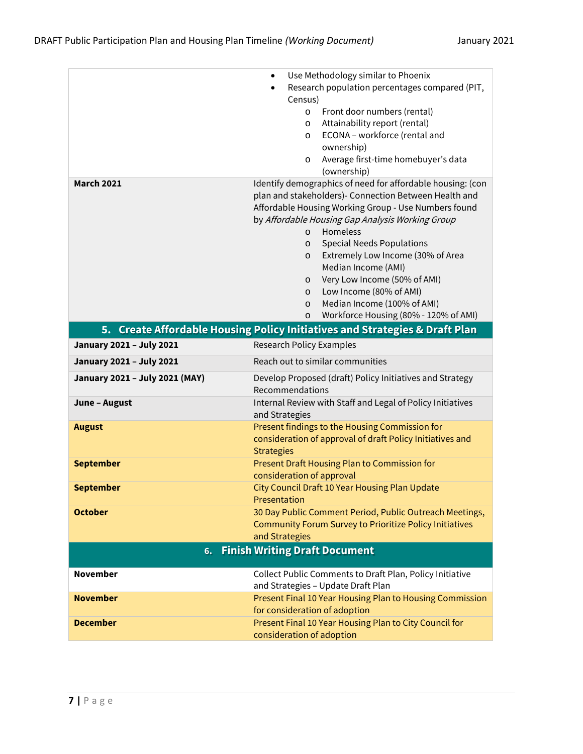|                                            | Use Methodology similar to Phoenix<br>$\bullet$                                                                                                                                                                                                                                                                                                                              |
|--------------------------------------------|------------------------------------------------------------------------------------------------------------------------------------------------------------------------------------------------------------------------------------------------------------------------------------------------------------------------------------------------------------------------------|
|                                            | Research population percentages compared (PIT,                                                                                                                                                                                                                                                                                                                               |
|                                            | Census)                                                                                                                                                                                                                                                                                                                                                                      |
|                                            | Front door numbers (rental)<br>$\circ$                                                                                                                                                                                                                                                                                                                                       |
|                                            | Attainability report (rental)<br>$\circ$                                                                                                                                                                                                                                                                                                                                     |
|                                            | ECONA - workforce (rental and<br>$\circ$                                                                                                                                                                                                                                                                                                                                     |
|                                            | ownership)                                                                                                                                                                                                                                                                                                                                                                   |
|                                            | Average first-time homebuyer's data<br>O                                                                                                                                                                                                                                                                                                                                     |
|                                            | (ownership)                                                                                                                                                                                                                                                                                                                                                                  |
| <b>March 2021</b>                          | Identify demographics of need for affordable housing: (con<br>plan and stakeholders)- Connection Between Health and<br>Affordable Housing Working Group - Use Numbers found<br>by Affordable Housing Gap Analysis Working Group<br>Homeless<br>$\circ$<br><b>Special Needs Populations</b><br>$\circ$<br>Extremely Low Income (30% of Area<br>$\circ$<br>Median Income (AMI) |
|                                            | Very Low Income (50% of AMI)<br>$\circ$                                                                                                                                                                                                                                                                                                                                      |
|                                            | Low Income (80% of AMI)<br>$\circ$                                                                                                                                                                                                                                                                                                                                           |
|                                            | Median Income (100% of AMI)<br>$\circ$                                                                                                                                                                                                                                                                                                                                       |
|                                            | Workforce Housing (80% - 120% of AMI)<br>$\circ$                                                                                                                                                                                                                                                                                                                             |
|                                            | 5. Create Affordable Housing Policy Initiatives and Strategies & Draft Plan                                                                                                                                                                                                                                                                                                  |
| January 2021 - July 2021                   | <b>Research Policy Examples</b>                                                                                                                                                                                                                                                                                                                                              |
| January 2021 - July 2021                   | Reach out to similar communities                                                                                                                                                                                                                                                                                                                                             |
| January 2021 - July 2021 (MAY)             | Develop Proposed (draft) Policy Initiatives and Strategy<br>Recommendations                                                                                                                                                                                                                                                                                                  |
| June - August                              | Internal Review with Staff and Legal of Policy Initiatives<br>and Strategies                                                                                                                                                                                                                                                                                                 |
| <b>August</b>                              | Present findings to the Housing Commission for                                                                                                                                                                                                                                                                                                                               |
|                                            | consideration of approval of draft Policy Initiatives and<br><b>Strategies</b>                                                                                                                                                                                                                                                                                               |
| <b>September</b>                           | Present Draft Housing Plan to Commission for                                                                                                                                                                                                                                                                                                                                 |
|                                            | consideration of approval                                                                                                                                                                                                                                                                                                                                                    |
| <b>September</b>                           | City Council Draft 10 Year Housing Plan Update                                                                                                                                                                                                                                                                                                                               |
|                                            | Presentation                                                                                                                                                                                                                                                                                                                                                                 |
| <b>October</b>                             | 30 Day Public Comment Period, Public Outreach Meetings,                                                                                                                                                                                                                                                                                                                      |
|                                            | <b>Community Forum Survey to Prioritize Policy Initiatives</b>                                                                                                                                                                                                                                                                                                               |
|                                            | and Strategies                                                                                                                                                                                                                                                                                                                                                               |
| <b>Finish Writing Draft Document</b><br>6. |                                                                                                                                                                                                                                                                                                                                                                              |
|                                            |                                                                                                                                                                                                                                                                                                                                                                              |
| <b>November</b>                            | Collect Public Comments to Draft Plan, Policy Initiative                                                                                                                                                                                                                                                                                                                     |
|                                            | and Strategies - Update Draft Plan                                                                                                                                                                                                                                                                                                                                           |
| <b>November</b>                            | Present Final 10 Year Housing Plan to Housing Commission                                                                                                                                                                                                                                                                                                                     |
|                                            | for consideration of adoption                                                                                                                                                                                                                                                                                                                                                |
| <b>December</b>                            | Present Final 10 Year Housing Plan to City Council for                                                                                                                                                                                                                                                                                                                       |
|                                            | consideration of adoption                                                                                                                                                                                                                                                                                                                                                    |